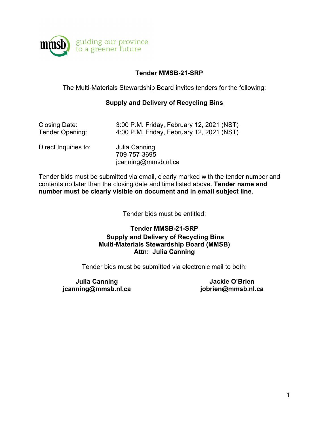

# **Tender MMSB-21-SRP**

The Multi-Materials Stewardship Board invites tenders for the following:

## **Supply and Delivery of Recycling Bins**

| Closing Date:        | 3:00 P.M. Friday, February 12, 2021 (NST)            |
|----------------------|------------------------------------------------------|
| Tender Opening:      | 4:00 P.M. Friday, February 12, 2021 (NST)            |
| Direct Inquiries to: | Julia Canning<br>709-757-3695<br>jcanning@mmsb.nl.ca |

Tender bids must be submitted via email, clearly marked with the tender number and contents no later than the closing date and time listed above. **Tender name and number must be clearly visible on document and in email subject line.** 

Tender bids must be entitled:

# **Tender MMSB-21-SRP Supply and Delivery of Recycling Bins Multi-Materials Stewardship Board (MMSB) Attn: Julia Canning**

Tender bids must be submitted via electronic mail to both:

**Julia Canning jcanning@mmsb.nl.ca**

**Jackie O'Brien jobrien@mmsb.nl.ca**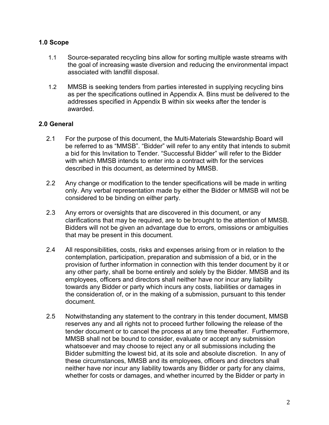## **1.0 Scope**

- 1.1 Source-separated recycling bins allow for sorting multiple waste streams with the goal of increasing waste diversion and reducing the environmental impact associated with landfill disposal.
- 1.2 MMSB is seeking tenders from parties interested in supplying recycling bins as per the specifications outlined in Appendix A. Bins must be delivered to the addresses specified in Appendix B within six weeks after the tender is awarded.

# **2.0 General**

- 2.1 For the purpose of this document, the Multi-Materials Stewardship Board will be referred to as "MMSB". "Bidder" will refer to any entity that intends to submit a bid for this Invitation to Tender. "Successful Bidder" will refer to the Bidder with which MMSB intends to enter into a contract with for the services described in this document, as determined by MMSB.
- 2.2 Any change or modification to the tender specifications will be made in writing only. Any verbal representation made by either the Bidder or MMSB will not be considered to be binding on either party.
- 2.3 Any errors or oversights that are discovered in this document, or any clarifications that may be required, are to be brought to the attention of MMSB. Bidders will not be given an advantage due to errors, omissions or ambiguities that may be present in this document.
- 2.4 All responsibilities, costs, risks and expenses arising from or in relation to the contemplation, participation, preparation and submission of a bid, or in the provision of further information in connection with this tender document by it or any other party, shall be borne entirely and solely by the Bidder. MMSB and its employees, officers and directors shall neither have nor incur any liability towards any Bidder or party which incurs any costs, liabilities or damages in the consideration of, or in the making of a submission, pursuant to this tender document.
- 2.5 Notwithstanding any statement to the contrary in this tender document, MMSB reserves any and all rights not to proceed further following the release of the tender document or to cancel the process at any time thereafter. Furthermore, MMSB shall not be bound to consider, evaluate or accept any submission whatsoever and may choose to reject any or all submissions including the Bidder submitting the lowest bid, at its sole and absolute discretion. In any of these circumstances, MMSB and its employees, officers and directors shall neither have nor incur any liability towards any Bidder or party for any claims, whether for costs or damages, and whether incurred by the Bidder or party in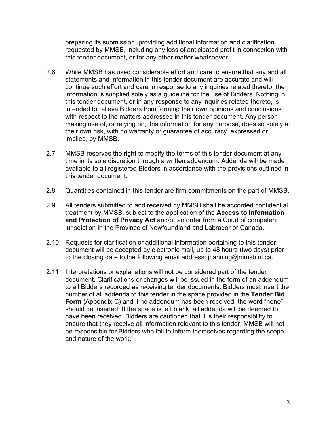preparing its submission, providing additional information and clarification requested by MMSB, including any loss of anticipated profit in connection with this tender document, or for any other matter whatsoever.

- 2.6 While MMSB has used considerable effort and care to ensure that any and all statements and information in this tender document are accurate and will continue such effort and care in response to any inquiries related thereto, the information is supplied solely as a guideline for the use of Bidders. Nothing in this tender document, or in any response to any inquiries related thereto, is intended to relieve Bidders from forming their own opinions and conclusions with respect to the matters addressed in this tender document. Any person making use of, or relying on, this information for any purpose, does so solely at their own risk, with no warranty or guarantee of accuracy, expressed or implied, by MMSB.
- 2.7 MMSB reserves the right to modify the terms of this tender document at any time in its sole discretion through a written addendum. Addenda will be made available to all registered Bidders in accordance with the provisions outlined in this tender document.
- 2.8 Quantities contained in this tender are firm commitments on the part of MMSB.
- 2.9 All tenders submitted to and received by MMSB shall be accorded confidential treatment by MMSB, subject to the application of the **Access to Information and Protection of Privacy Act** and/or an order from a Court of competent jurisdiction in the Province of Newfoundland and Labrador or Canada.
- 2.10 Requests for clarification or additional information pertaining to this tender document will be accepted by electronic mail, up to 48 hours (two days) prior to the closing date to the following email address: jcanning@mmsb.nl.ca.
- 2.11 Interpretations or explanations will not be considered part of the tender document. Clarifications or changes will be issued in the form of an addendum to all Bidders recorded as receiving tender documents. Bidders must insert the number of all addenda to this tender in the space provided in the **Tender Bid Form** (Appendix C) and if no addendum has been received, the word "none" should be inserted. If the space is left blank, all addenda will be deemed to have been received. Bidders are cautioned that it is their responsibility to ensure that they receive all information relevant to this tender. MMSB will not be responsible for Bidders who fail to inform themselves regarding the scope and nature of the work.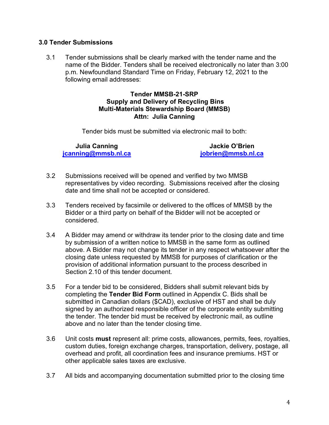## **3.0 Tender Submissions**

3.1 Tender submissions shall be clearly marked with the tender name and the name of the Bidder. Tenders shall be received electronically no later than 3:00 p.m. Newfoundland Standard Time on Friday, February 12, 2021 to the following email addresses:

## **Tender MMSB-21-SRP Supply and Delivery of Recycling Bins Multi-Materials Stewardship Board (MMSB) Attn: Julia Canning**

Tender bids must be submitted via electronic mail to both:

**Julia Canning [jcanning@mmsb.nl.ca](mailto:jcanning@mmsb.nl.ca)**

**Jackie O'Brien [jobrien@mmsb.nl.ca](mailto:jobrien@mmsb.nl.ca)**

- 3.2 Submissions received will be opened and verified by two MMSB representatives by video recording. Submissions received after the closing date and time shall not be accepted or considered.
- 3.3 Tenders received by facsimile or delivered to the offices of MMSB by the Bidder or a third party on behalf of the Bidder will not be accepted or considered.
- 3.4 A Bidder may amend or withdraw its tender prior to the closing date and time by submission of a written notice to MMSB in the same form as outlined above. A Bidder may not change its tender in any respect whatsoever after the closing date unless requested by MMSB for purposes of clarification or the provision of additional information pursuant to the process described in Section 2.10 of this tender document.
- 3.5 For a tender bid to be considered, Bidders shall submit relevant bids by completing the **Tender Bid Form** outlined in Appendix C. Bids shall be submitted in Canadian dollars (\$CAD), exclusive of HST and shall be duly signed by an authorized responsible officer of the corporate entity submitting the tender. The tender bid must be received by electronic mail, as outline above and no later than the tender closing time.
- 3.6 Unit costs **must** represent all: prime costs, allowances, permits, fees, royalties, custom duties, foreign exchange charges, transportation, delivery, postage, all overhead and profit, all coordination fees and insurance premiums. HST or other applicable sales taxes are exclusive.
- 3.7 All bids and accompanying documentation submitted prior to the closing time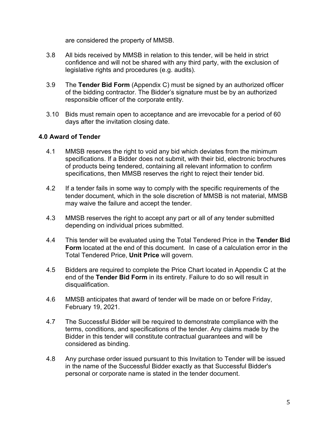are considered the property of MMSB.

- 3.8 All bids received by MMSB in relation to this tender, will be held in strict confidence and will not be shared with any third party, with the exclusion of legislative rights and procedures (e.g. audits).
- 3.9 The **Tender Bid Form** (Appendix C) must be signed by an authorized officer of the bidding contractor. The Bidder's signature must be by an authorized responsible officer of the corporate entity.
- 3.10 Bids must remain open to acceptance and are irrevocable for a period of 60 days after the invitation closing date.

# **4.0 Award of Tender**

- 4.1 MMSB reserves the right to void any bid which deviates from the minimum specifications. If a Bidder does not submit, with their bid, electronic brochures of products being tendered, containing all relevant information to confirm specifications, then MMSB reserves the right to reject their tender bid.
- 4.2 If a tender fails in some way to comply with the specific requirements of the tender document, which in the sole discretion of MMSB is not material, MMSB may waive the failure and accept the tender.
- 4.3 MMSB reserves the right to accept any part or all of any tender submitted depending on individual prices submitted.
- 4.4 This tender will be evaluated using the Total Tendered Price in the **Tender Bid Form** located at the end of this document. In case of a calculation error in the Total Tendered Price, **Unit Price** will govern.
- 4.5 Bidders are required to complete the Price Chart located in Appendix C at the end of the **Tender Bid Form** in its entirety. Failure to do so will result in disqualification.
- 4.6 MMSB anticipates that award of tender will be made on or before Friday, February 19, 2021.
- 4.7 The Successful Bidder will be required to demonstrate compliance with the terms, conditions, and specifications of the tender. Any claims made by the Bidder in this tender will constitute contractual guarantees and will be considered as binding.
- 4.8 Any purchase order issued pursuant to this Invitation to Tender will be issued in the name of the Successful Bidder exactly as that Successful Bidder's personal or corporate name is stated in the tender document.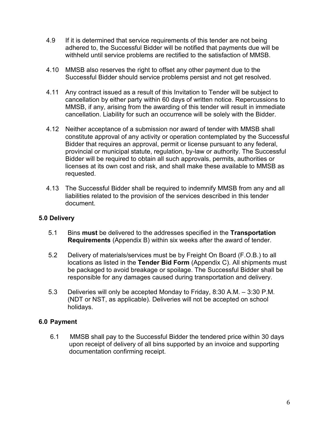- 4.9 If it is determined that service requirements of this tender are not being adhered to, the Successful Bidder will be notified that payments due will be withheld until service problems are rectified to the satisfaction of MMSB.
- 4.10 MMSB also reserves the right to offset any other payment due to the Successful Bidder should service problems persist and not get resolved.
- 4.11 Any contract issued as a result of this Invitation to Tender will be subject to cancellation by either party within 60 days of written notice. Repercussions to MMSB, if any, arising from the awarding of this tender will result in immediate cancellation. Liability for such an occurrence will be solely with the Bidder.
- 4.12 Neither acceptance of a submission nor award of tender with MMSB shall constitute approval of any activity or operation contemplated by the Successful Bidder that requires an approval, permit or license pursuant to any federal, provincial or municipal statute, regulation, by-law or authority. The Successful Bidder will be required to obtain all such approvals, permits, authorities or licenses at its own cost and risk, and shall make these available to MMSB as requested.
- 4.13 The Successful Bidder shall be required to indemnify MMSB from any and all liabilities related to the provision of the services described in this tender document.

# **5.0 Delivery**

- 5.1 Bins **must** be delivered to the addresses specified in the **Transportation Requirements** (Appendix B) within six weeks after the award of tender.
- 5.2 Delivery of materials/services must be by Freight On Board (F.O.B.) to all locations as listed in the **Tender Bid Form** (Appendix C). All shipments must be packaged to avoid breakage or spoilage. The Successful Bidder shall be responsible for any damages caused during transportation and delivery.
- 5.3 Deliveries will only be accepted Monday to Friday, 8:30 A.M. 3:30 P.M. (NDT or NST, as applicable). Deliveries will not be accepted on school holidays.

# **6.0 Payment**

6.1 MMSB shall pay to the Successful Bidder the tendered price within 30 days upon receipt of delivery of all bins supported by an invoice and supporting documentation confirming receipt.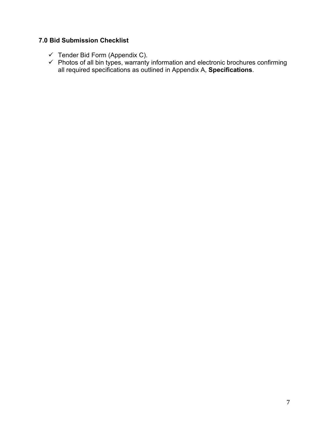# **7.0 Bid Submission Checklist**

- $\checkmark$  Tender Bid Form (Appendix C).
- $\checkmark$  Photos of all bin types, warranty information and electronic brochures confirming all required specifications as outlined in Appendix A, **Specifications**.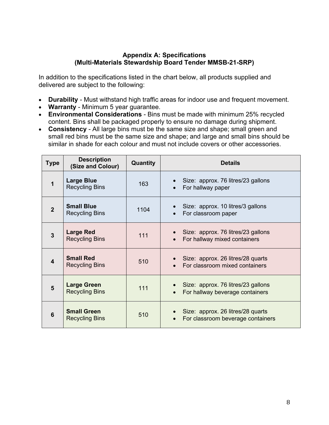## **Appendix A: Specifications (Multi-Materials Stewardship Board Tender MMSB-21-SRP)**

In addition to the specifications listed in the chart below, all products supplied and delivered are subject to the following:

- **Durability** Must withstand high traffic areas for indoor use and frequent movement.
- **Warranty** Minimum 5 year guarantee.
- **Environmental Considerations** Bins must be made with minimum 25% recycled content. Bins shall be packaged properly to ensure no damage during shipment.
- **Consistency**  All large bins must be the same size and shape; small green and small red bins must be the same size and shape; and large and small bins should be similar in shade for each colour and must not include covers or other accessories.

| <b>Type</b>    | <b>Description</b><br>(Size and Colour)     | Quantity | <b>Details</b>                                                         |
|----------------|---------------------------------------------|----------|------------------------------------------------------------------------|
| 1              | <b>Large Blue</b><br><b>Recycling Bins</b>  | 163      | Size: approx. 76 litres/23 gallons<br>For hallway paper                |
| $\overline{2}$ | <b>Small Blue</b><br><b>Recycling Bins</b>  | 1104     | Size: approx. 10 litres/3 gallons<br>For classroom paper               |
| 3              | <b>Large Red</b><br><b>Recycling Bins</b>   | 111      | Size: approx. 76 litres/23 gallons<br>For hallway mixed containers     |
| 4              | <b>Small Red</b><br><b>Recycling Bins</b>   | 510      | Size: approx. 26 litres/28 quarts<br>For classroom mixed containers    |
| 5              | <b>Large Green</b><br><b>Recycling Bins</b> | 111      | Size: approx. 76 litres/23 gallons<br>For hallway beverage containers  |
| 6              | <b>Small Green</b><br><b>Recycling Bins</b> | 510      | Size: approx. 26 litres/28 quarts<br>For classroom beverage containers |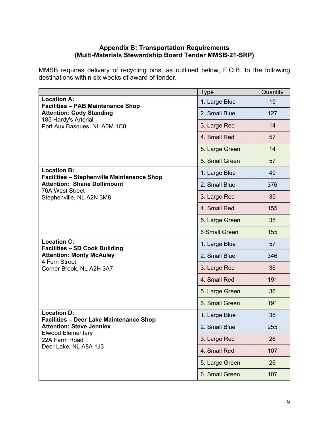## **Appendix B: Transportation Requirements (Multi-Materials Stewardship Board Tender MMSB-21-SRP)**

MMSB requires delivery of recycling bins, as outlined below, F.O.B. to the following destinations within six weeks of award of tender.

|                                                                         | <b>Type</b>    | Quantity |
|-------------------------------------------------------------------------|----------------|----------|
| <b>Location A:</b><br><b>Facilities - PAB Maintenance Shop</b>          | 1. Large Blue  | 19       |
| <b>Attention: Cody Standing</b>                                         | 2. Small Blue  | 127      |
| 185 Hardy's Arterial<br>Port Aux Basques, NL A0M 1C0                    | 3. Large Red   | 14       |
|                                                                         | 4. Small Red   | 57       |
|                                                                         | 5. Large Green | 14       |
|                                                                         | 6. Small Green | 57       |
| <b>Location B:</b><br><b>Facilities - Stephenville Maintenance Shop</b> | 1. Large Blue  | 49       |
| <b>Attention: Shane Dollimount</b>                                      | 2. Small Blue  | 376      |
| <b>76A West Street</b><br>Stephenville, NL A2N 3M8                      | 3. Large Red   | 35       |
|                                                                         | 4. Small Red   | 155      |
|                                                                         | 5. Large Green | 35       |
|                                                                         | 6 Small Green  | 155      |
| <b>Location C:</b><br><b>Facilities - SD Cook Building</b>              | 1. Large Blue  | 57       |
| <b>Attention: Monty McAuley</b>                                         | 2. Small Blue  | 346      |
| 4 Fern Street<br>Corner Brook, NL A2H 3A7                               | 3. Large Red   | 36       |
|                                                                         | 4. Small Red   | 191      |
|                                                                         | 5. Large Green | 36       |
|                                                                         | 6. Small Green | 191      |
| <b>Location D:</b><br><b>Facilities - Deer Lake Maintenance Shop</b>    | 1. Large Blue  | 38       |
| <b>Attention: Steve Jenniex</b>                                         | 2. Small Blue  | 255      |
| <b>Elwood Elementary</b><br>22A Farm Road                               | 3. Large Red   | 26       |
| Deer Lake, NL A8A 1J3                                                   | 4. Small Red   | 107      |
|                                                                         | 5. Large Green | 26       |
|                                                                         | 6. Small Green | 107      |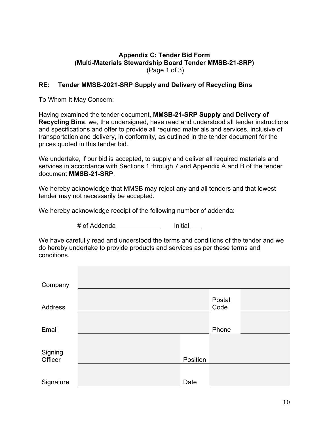#### **Appendix C: Tender Bid Form (Multi-Materials Stewardship Board Tender MMSB-21-SRP)**  (Page 1 of 3)

## **RE: Tender MMSB-2021-SRP Supply and Delivery of Recycling Bins**

To Whom It May Concern:

Having examined the tender document, **MMSB-21-SRP Supply and Delivery of Recycling Bins**, we, the undersigned, have read and understood all tender instructions and specifications and offer to provide all required materials and services, inclusive of transportation and delivery, in conformity, as outlined in the tender document for the prices quoted in this tender bid.

We undertake, if our bid is accepted, to supply and deliver all required materials and services in accordance with Sections 1 through 7 and Appendix A and B of the tender document **MMSB-21-SRP**.

We hereby acknowledge that MMSB may reject any and all tenders and that lowest tender may not necessarily be accepted.

We hereby acknowledge receipt of the following number of addenda:

# of Addenda **Initial** 

We have carefully read and understood the terms and conditions of the tender and we do hereby undertake to provide products and services as per these terms and conditions.

| Company            |          |                |  |
|--------------------|----------|----------------|--|
| Address            |          | Postal<br>Code |  |
| Email              |          | Phone          |  |
|                    |          |                |  |
| Signing<br>Officer | Position |                |  |
|                    |          |                |  |
| Signature          | Date     |                |  |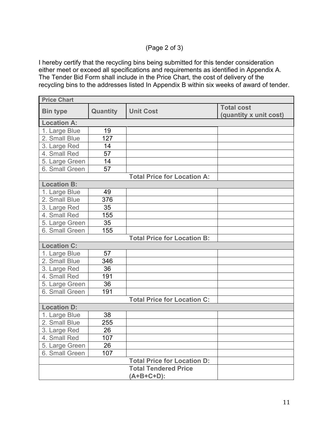# (Page 2 of 3)

I hereby certify that the recycling bins being submitted for this tender consideration either meet or exceed all specifications and requirements as identified in Appendix A. The Tender Bid Form shall include in the Price Chart, the cost of delivery of the recycling bins to the addresses listed In Appendix B within six weeks of award of tender.

| <b>Price Chart</b> |          |                                    |                                             |
|--------------------|----------|------------------------------------|---------------------------------------------|
| <b>Bin type</b>    | Quantity | <b>Unit Cost</b>                   | <b>Total cost</b><br>(quantity x unit cost) |
| <b>Location A:</b> |          |                                    |                                             |
| 1. Large Blue      | 19       |                                    |                                             |
| 2. Small Blue      | 127      |                                    |                                             |
| 3. Large Red       | 14       |                                    |                                             |
| 4. Small Red       | 57       |                                    |                                             |
| 5. Large Green     | 14       |                                    |                                             |
| 6. Small Green     | 57       |                                    |                                             |
|                    |          | <b>Total Price for Location A:</b> |                                             |
| <b>Location B:</b> |          |                                    |                                             |
| 1. Large Blue      | 49       |                                    |                                             |
| 2. Small Blue      | 376      |                                    |                                             |
| 3. Large Red       | 35       |                                    |                                             |
| 4. Small Red       | 155      |                                    |                                             |
| 5. Large Green     | 35       |                                    |                                             |
| 6. Small Green     | 155      |                                    |                                             |
|                    |          | <b>Total Price for Location B:</b> |                                             |
| <b>Location C:</b> |          |                                    |                                             |
| 1. Large Blue      | 57       |                                    |                                             |
| 2. Small Blue      | 346      |                                    |                                             |
| 3. Large Red       | 36       |                                    |                                             |
| 4. Small Red       | 191      |                                    |                                             |
| 5. Large Green     | 36       |                                    |                                             |
| 6. Small Green     | 191      |                                    |                                             |
|                    |          | <b>Total Price for Location C:</b> |                                             |
| <b>Location D:</b> |          |                                    |                                             |
| 1. Large Blue      | 38       |                                    |                                             |
| 2. Small Blue      | 255      |                                    |                                             |
| 3. Large Red       | 26       |                                    |                                             |
| 4. Small Red       | 107      |                                    |                                             |
| 5. Large Green     | 26       |                                    |                                             |
| 6. Small Green     | 107      |                                    |                                             |
|                    |          | <b>Total Price for Location D:</b> |                                             |
|                    |          | <b>Total Tendered Price</b>        |                                             |
|                    |          | $(A+B+C+D)$ :                      |                                             |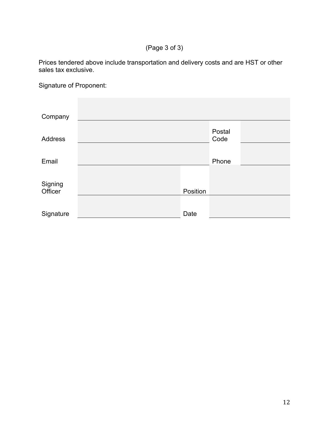(Page 3 of 3)

Prices tendered above include transportation and delivery costs and are HST or other sales tax exclusive.

Signature of Proponent:

| Company        |          |                |  |
|----------------|----------|----------------|--|
| <b>Address</b> |          | Postal<br>Code |  |
| Email          |          | Phone          |  |
| Signing        |          |                |  |
| Officer        | Position |                |  |
| Signature      | Date     |                |  |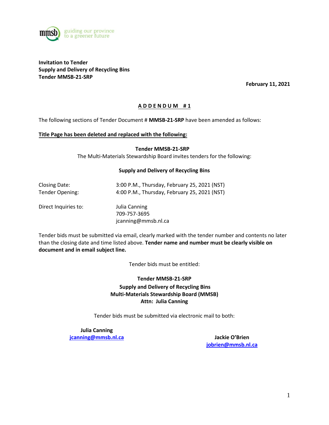

**Invitation to Tender Supply and Delivery of Recycling Bins Tender MMSB-21-SRP**

**February 11, 2021**

#### **A D D E N D U M # 1**

The following sections of Tender Document # **MMSB-21-SRP** have been amended as follows:

#### **Title Page has been deleted and replaced with the following:**

**Tender MMSB-21-SRP**

The Multi-Materials Stewardship Board invites tenders for the following:

#### **Supply and Delivery of Recycling Bins**

| Closing Date:   | 3:00 P.M., Thursday, February 25, 2021 (NST) |
|-----------------|----------------------------------------------|
| Tender Opening: | 4:00 P.M., Thursday, February 25, 2021 (NST) |

Direct Inquiries to: Julia Canning

709-757-3695 jcanning@mmsb.nl.ca

Tender bids must be submitted via email, clearly marked with the tender number and contents no later than the closing date and time listed above. **Tender name and number must be clearly visible on document and in email subject line.**

Tender bids must be entitled:

**Tender MMSB-21-SRP Supply and Delivery of Recycling Bins Multi-Materials Stewardship Board (MMSB) Attn: Julia Canning**

Tender bids must be submitted via electronic mail to both:

**Julia Canning [jcanning@mmsb.nl.ca](mailto:jcanning@mmsb.nl.ca) Jackie O'Brien**

**[jobrien@mmsb.nl.ca](mailto:jobrien@mmsb.nl.ca)**